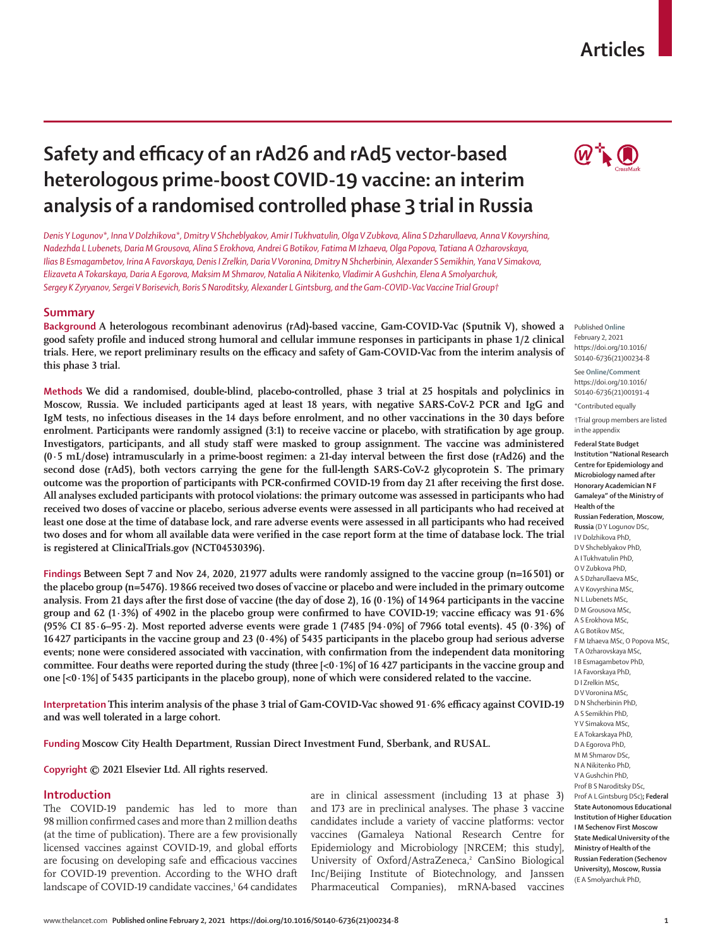## www.thelancet.com **Published online February 2, 2021 https://doi.org/10.1016/S0140-6736(21)00234-8 1**

# **Safety and efficacy of an rAd26 and rAd5 vector-based heterologous prime-boost COVID-19 vaccine: an interim analysis of a randomised controlled phase 3 trial in Russia**

*Denis Y Logunov\*, Inna V Dolzhikova\*, Dmitry V Shcheblyakov, Amir I Tukhvatulin, Olga V Zubkova, Alina S Dzharullaeva, Anna V Kovyrshina, Nadezhda L Lubenets, Daria M Grousova, Alina S Erokhova, Andrei G Botikov, Fatima M Izhaeva, Olga Popova, Tatiana A Ozharovskaya, Ilias B Esmagambetov, Irina A Favorskaya, Denis I Zrelkin, Daria V Voronina, Dmitry N Shcherbinin, Alexander S Semikhin, Yana V Simakova, Elizaveta A Tokarskaya, Daria A Egorova, Maksim M Shmarov, Natalia A Nikitenko, Vladimir A Gushchin, Elena A Smolyarchuk, Sergey K Zyryanov, Sergei V Borisevich, Boris S Naroditsky, Alexander L Gintsburg, and the Gam-COVID-Vac Vaccine Trial Group†*

# **Summary**

**Background A heterologous recombinant adenovirus (rAd)-based vaccine, Gam-COVID-Vac (Sputnik V), showed a good safety profile and induced strong humoral and cellular immune responses in participants in phase 1/2 clinical trials. Here, we report preliminary results on the efficacy and safety of Gam-COVID-Vac from the interim analysis of this phase 3 trial.**

**Methods We did a randomised, double-blind, placebo-controlled, phase 3 trial at 25 hospitals and polyclinics in Moscow, Russia. We included participants aged at least 18 years, with negative SARS-CoV-2 PCR and IgG and IgM tests, no infectious diseases in the 14 days before enrolment, and no other vaccinations in the 30 days before enrolment. Participants were randomly assigned (3:1) to receive vaccine or placebo, with stratification by age group. Investigators, participants, and all study staff were masked to group assignment. The vaccine was administered (0·5 mL/dose) intramuscularly in a prime-boost regimen: a 21-day interval between the first dose (rAd26) and the second dose (rAd5), both vectors carrying the gene for the full-length SARS-CoV-2 glycoprotein S. The primary outcome was the proportion of participants with PCR-confirmed COVID-19 from day 21 after receiving the first dose. All analyses excluded participants with protocol violations: the primary outcome was assessed in participants who had received two doses of vaccine or placebo, serious adverse events were assessed in all participants who had received at least one dose at the time of database lock, and rare adverse events were assessed in all participants who had received two doses and for whom all available data were verified in the case report form at the time of database lock. The trial is registered at ClinicalTrials.gov (NCT04530396).**

**Findings Between Sept 7 and Nov 24, 2020, 21 977 adults were randomly assigned to the vaccine group (n=16501) or the placebo group (n=5476). 19866 received two doses of vaccine or placebo and were included in the primary outcome analysis. From 21 days after the first dose of vaccine (the day of dose 2), 16 (0·1%) of 14964 participants in the vaccine group and 62 (1·3%) of 4902 in the placebo group were confirmed to have COVID-19; vaccine efficacy was 91·6% (95% CI 85·6–95·2). Most reported adverse events were grade 1 (7485 [94·0%] of 7966 total events). 45 (0·3%) of 16427 participants in the vaccine group and 23 (0·4%) of 5435 participants in the placebo group had serious adverse events; none were considered associated with vaccination, with confirmation from the independent data monitoring committee. Four deaths were reported during the study (three [<0·1%] of 16 427 participants in the vaccine group and one [<0·1%] of 5435 participants in the placebo group), none of which were considered related to the vaccine.**

**Interpretation This interim analysis of the phase 3 trial of Gam-COVID-Vac showed 91·6% efficacy against COVID-19 and was well tolerated in a large cohort.**

**Funding Moscow City Health Department, Russian Direct Investment Fund, Sberbank, and RUSAL.**

**Copyright © 2021 Elsevier Ltd. All rights reserved.**

# **Introduction**

The COVID-19 pandemic has led to more than 98 million confirmed cases and more than 2 million deaths (at the time of publication). There are a few provisionally licensed vaccines against COVID-19, and global efforts are focusing on developing safe and efficacious vaccines for COVID-19 prevention. According to the WHO draft landscape of COVID-19 candidate vaccines,<sup>1</sup> 64 candidates are in clinical assessment (including 13 at phase 3) and 173 are in preclinical analyses. The phase 3 vaccine candidates include a variety of vaccine platforms: vector vaccines (Gamaleya National Research Centre for Epidemiology and Microbiology [NRCEM; this study], University of Oxford/AstraZeneca,<sup>2</sup> CanSino Biological Inc/Beijing Institute of Biotechnology, and Janssen Pharmaceutical Companies), mRNA-based vaccines



Published **Online** February 2, 2021 https://doi.org/10.1016/ S0140-6736(21)00234-8

See **Online/Comment** https://doi.org/10.1016/ S0140-6736(21)00191-4

\*Contributed equally

†Trial group members are listed in the appendix

**Federal State Budget Institution "National Research Centre for Epidemiology and Microbiology named after Honorary Academician N F Gamaleya" of the Ministry of Health of the Russian Federation, Moscow, Russia** (D Y Logunov DSc, I V Dolzhikova PhD, D V Shcheblyakov PhD, A I Tukhvatulin PhD, O V Zubkova PhD, A S Dzharullaeva MSc, A V Kovyrshina MSc, N L Lubenets MSc, D M Grousova MSc, A S Erokhova MSc, A G Botikov MSc, F M Izhaeva MSc, O Popova MSc, T A Ozharovskaya MSc, I B Esmagambetov PhD, I A Favorskaya PhD, D I Zrelkin MSc, D V Voronina MSc, D N Shcherbinin PhD, A S Semikhin PhD, Y V Simakova MSc, E A Tokarskaya PhD, D A Egorova PhD, M M Shmarov DSc, N A Nikitenko PhD, V A Gushchin PhD, Prof B S Naroditsky DSc, Prof A L Gintsburg DSc)**; Federal State Autonomous Educational Institution of Higher Education I M Sechenov First Moscow State Medical University of the Ministry of Health of the Russian Federation (Sechenov University), Moscow, Russia** (E A Smolyarchuk PhD,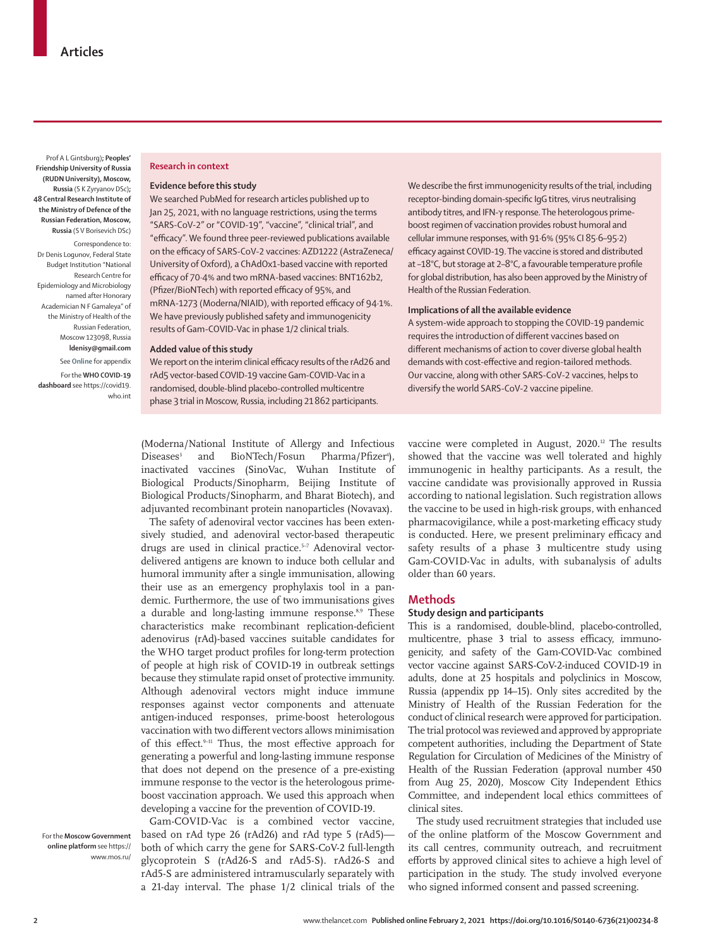Prof A L Gintsburg)**; Peoples' Friendship University of Russia (RUDN University), Moscow, Russia** (S K Zyryanov DSc)**; 48 Central Research Institute of the Ministry of Defence of the Russian Federation, Moscow, Russia** (S V Borisevich DSc)

Correspondence to: Dr Denis Logunov, Federal State Budget Institution "National Research Centre for Epidemiology and Microbiology named after Honorary Academician N F Gamaleya" of the Ministry of Health of the Russian Federation, Moscow 123098, Russia **ldenisy@gmail.com**

See **Online** for appendix For the **WHO COVID-19 dashboard** see [https://covid19.](https://covid19.who.int) [who.int](https://covid19.who.int)

## **Research in context**

## **Evidence before this study**

We searched PubMed for research articles published up to Jan 25, 2021, with no language restrictions, using the terms "SARS-CoV-2" or "COVID-19", "vaccine", "clinical trial", and "efficacy". We found three peer-reviewed publications available on the efficacy of SARS-CoV-2 vaccines: AZD1222 (AstraZeneca/ University of Oxford), a ChAdOx1-based vaccine with reported efficacy of 70·4% and two mRNA-based vaccines: BNT162b2, (Pfizer/BioNTech) with reported efficacy of 95%, and mRNA-1273 (Moderna/NIAID), with reported efficacy of 94·1%. We have previously published safety and immunogenicity results of Gam-COVID-Vac in phase 1/2 clinical trials.

#### **Added value of this study**

We report on the interim clinical efficacy results of the rAd26 and rAd5 vector-based COVID-19 vaccine Gam-COVID-Vac in a randomised, double-blind placebo-controlled multicentre phase 3 trial in Moscow, Russia, including 21862 participants.

We describe the first immunogenicity results of the trial, including receptor-binding domain-specific IgG titres, virus neutralising antibody titres, and IFN-γ response. The heterologous primeboost regimen of vaccination provides robust humoral and cellular immune responses, with 91·6% (95% CI 85·6–95·2) efficacy against COVID-19. The vaccine is stored and distributed at –18°C, but storage at 2–8°C, a favourable temperature profile for global distribution, has also been approved by the Ministry of Health of the Russian Federation.

## **Implications of all the available evidence**

A system-wide approach to stopping the COVID-19 pandemic requires the introduction of different vaccines based on different mechanisms of action to cover diverse global health demands with cost-effective and region-tailored methods. Our vaccine, along with other SARS-CoV-2 vaccines, helps to diversify the world SARS-CoV-2 vaccine pipeline.

(Moderna/National Institute of Allergy and Infectious Diseases<sup>3</sup> and BioNTech/Fosun Pharma/Pfizer<sup>4</sup>), inactivated vaccines (SinoVac, Wuhan Institute of Biological Products/Sinopharm, Beijing Institute of Biological Products/Sinopharm, and Bharat Biotech), and adjuvanted recombinant protein nanoparticles (Novavax).

The safety of adenoviral vector vaccines has been extensively studied, and adenoviral vector-based therapeutic drugs are used in clinical practice.<sup>5-7</sup> Adenoviral vectordelivered antigens are known to induce both cellular and humoral immunity after a single immunisation, allowing their use as an emergency prophylaxis tool in a pandemic. Furthermore, the use of two immunisations gives a durable and long-lasting immune response.<sup>8,9</sup> These characteristics make recombinant replication-deficient adenovirus (rAd)-based vaccines suitable candidates for the WHO target product profiles for long-term protection of people at high risk of COVID-19 in outbreak settings because they stimulate rapid onset of protective immunity. Although adenoviral vectors might induce immune responses against vector components and attenuate antigen-induced responses, prime-boost heterologous vaccination with two different vectors allows minimisation of this effect.<sup>9-11</sup> Thus, the most effective approach for generating a powerful and long-lasting immune response that does not depend on the presence of a pre-existing immune response to the vector is the heterologous primeboost vaccination approach. We used this approach when developing a vaccine for the prevention of COVID-19.

For the **Moscow Government online platform** see [https://](https://www.mos.ru/) [www.mos.ru/](https://www.mos.ru/)

Gam-COVID-Vac is a combined vector vaccine, based on rAd type 26 (rAd26) and rAd type 5 (rAd5) both of which carry the gene for SARS-CoV-2 full-length glycoprotein S (rAd26-S and rAd5-S). rAd26-S and rAd5-S are administered intramuscularly separately with a 21-day interval. The phase 1/2 clinical trials of the

vaccine were completed in August, 2020. 12 The results showed that the vaccine was well tolerated and highly immunogenic in healthy participants. As a result, the vaccine candidate was provisionally approved in Russia according to national legislation. Such registration allows the vaccine to be used in high-risk groups, with enhanced pharmacovigilance, while a post-marketing efficacy study is conducted. Here, we present preliminary efficacy and safety results of a phase 3 multicentre study using Gam-COVID-Vac in adults, with subanalysis of adults older than 60 years.

## **Methods**

# **Study design and participants**

This is a randomised, double-blind, placebo-controlled, multicentre, phase 3 trial to assess efficacy, immunogenicity, and safety of the Gam-COVID-Vac combined vector vaccine against SARS-CoV-2-induced COVID-19 in adults, done at 25 hospitals and polyclinics in Moscow, Russia (appendix pp 14–15). Only sites accredited by the Ministry of Health of the Russian Federation for the conduct of clinical research were approved for participation. The trial protocol was reviewed and approved by appropriate competent authorities, including the Department of State Regulation for Circulation of Medicines of the Ministry of Health of the Russian Federation (approval number 450 from Aug 25, 2020), Moscow City Independent Ethics Committee, and independent local ethics committees of clinical sites.

The study used recruitment strategies that included use of the online platform of the [Moscow Government](https://www.mos.ru/) and its call centres, community outreach, and recruitment efforts by approved clinical sites to achieve a high level of participation in the study. The study involved everyone who signed informed consent and passed screening.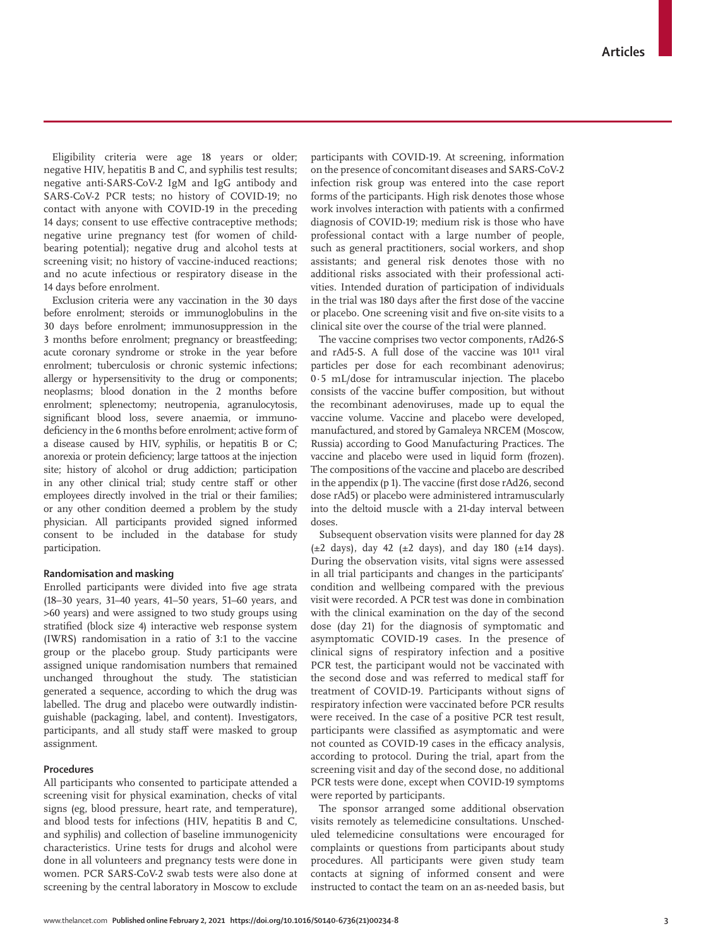Eligibility criteria were age 18 years or older; negative HIV, hepatitis B and C, and syphilis test results; negative anti-SARS-CoV-2 IgM and IgG antibody and SARS-CoV-2 PCR tests; no history of COVID-19; no contact with anyone with COVID-19 in the preceding 14 days; consent to use effective contraceptive methods; negative urine pregnancy test (for women of childbearing potential); negative drug and alcohol tests at screening visit; no history of vaccine-induced reactions; and no acute infectious or respiratory disease in the 14 days before enrolment.

Exclusion criteria were any vaccination in the 30 days before enrolment; steroids or immunoglobulins in the 30 days before enrolment; immunosuppression in the 3 months before enrolment; pregnancy or breastfeeding; acute coronary syndrome or stroke in the year before enrolment; tuberculosis or chronic systemic infections; allergy or hypersensitivity to the drug or components; neoplasms; blood donation in the 2 months before enrolment; splenectomy; neutropenia, agranulocytosis, significant blood loss, severe anaemia, or immunodeficiency in the 6 months before enrolment; active form of a disease caused by HIV, syphilis, or hepatitis B or C; anorexia or protein deficiency; large tattoos at the injection site; history of alcohol or drug addiction; participation in any other clinical trial; study centre staff or other employees directly involved in the trial or their families; or any other condition deemed a problem by the study physician. All participants provided signed informed consent to be included in the database for study participation.

## **Randomisation and masking**

Enrolled participants were divided into five age strata (18–30 years, 31–40 years, 41–50 years, 51–60 years, and >60 years) and were assigned to two study groups using stratified (block size 4) interactive web response system (IWRS) randomisation in a ratio of 3:1 to the vaccine group or the placebo group. Study participants were assigned unique randomisation numbers that remained unchanged throughout the study. The statistician generated a sequence, according to which the drug was labelled. The drug and placebo were outwardly indistinguishable (packaging, label, and content). Investigators, participants, and all study staff were masked to group assignment.

# **Procedures**

All participants who consented to participate attended a screening visit for physical examination, checks of vital signs (eg, blood pressure, heart rate, and temperature), and blood tests for infections (HIV, hepatitis B and C, and syphilis) and collection of baseline immunogenicity characteristics. Urine tests for drugs and alcohol were done in all volunteers and pregnancy tests were done in women. PCR SARS-CoV-2 swab tests were also done at screening by the central laboratory in Moscow to exclude participants with COVID-19. At screening, information on the presence of concomitant diseases and SARS-CoV-2 infection risk group was entered into the case report forms of the participants. High risk denotes those whose work involves interaction with patients with a confirmed diagnosis of COVID-19; medium risk is those who have professional contact with a large number of people, such as general practitioners, social workers, and shop assistants; and general risk denotes those with no additional risks associated with their professional activities. Intended duration of participation of individuals in the trial was 180 days after the first dose of the vaccine or placebo. One screening visit and five on-site visits to a clinical site over the course of the trial were planned.

The vaccine comprises two vector components, rAd26-S and rAd5-S. A full dose of the vaccine was 10<sup>11</sup> viral particles per dose for each recombinant adenovirus; 0·5 mL/dose for intramuscular injection. The placebo consists of the vaccine buffer composition, but without the recombinant adenoviruses, made up to equal the vaccine volume. Vaccine and placebo were developed, manufactured, and stored by Gamaleya NRCEM (Moscow, Russia) according to Good Manufacturing Practices. The vaccine and placebo were used in liquid form (frozen). The compositions of the vaccine and placebo are described in the appendix (p 1). The vaccine (first dose rAd26, second dose rAd5) or placebo were administered intramuscularly into the deltoid muscle with a 21-day interval between doses.

Subsequent observation visits were planned for day 28  $(\pm 2 \text{ days})$ , day 42  $(\pm 2 \text{ days})$ , and day 180  $(\pm 14 \text{ days})$ . During the observation visits, vital signs were assessed in all trial participants and changes in the participants' condition and wellbeing compared with the previous visit were recorded. A PCR test was done in combination with the clinical examination on the day of the second dose (day 21) for the diagnosis of symptomatic and asymptomatic COVID-19 cases. In the presence of clinical signs of respiratory infection and a positive PCR test, the participant would not be vaccinated with the second dose and was referred to medical staff for treatment of COVID-19. Participants without signs of respiratory infection were vaccinated before PCR results were received. In the case of a positive PCR test result, participants were classified as asymptomatic and were not counted as COVID-19 cases in the efficacy analysis, according to protocol. During the trial, apart from the screening visit and day of the second dose, no additional PCR tests were done, except when COVID-19 symptoms were reported by participants.

The sponsor arranged some additional observation visits remotely as telemedicine consultations. Unscheduled telemedicine consultations were encouraged for complaints or questions from participants about study procedures. All participants were given study team contacts at signing of informed consent and were instructed to contact the team on an as-needed basis, but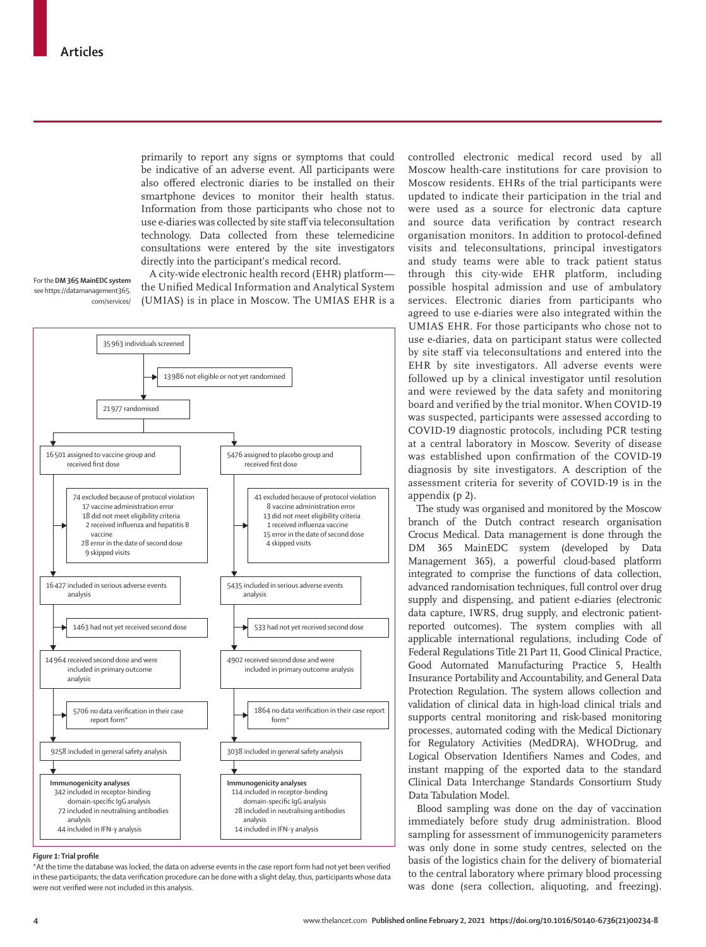primarily to report any signs or symptoms that could be indicative of an adverse event. All participants were also offered electronic diaries to be installed on their smartphone devices to monitor their health status. Information from those participants who chose not to use e-diaries was collected by site staff via teleconsultation technology. Data collected from these telemedicine consultations were entered by the site investigators directly into the participant's medical record.

For the **DM 365 MainEDC system**  see [https://datamanagement365.](https://datamanagement365.com/services/) [com/services/](https://datamanagement365.com/services/)

A city-wide electronic health record (EHR) platform the Unified Medical Information and Analytical System (UMIAS) is in place in Moscow. The UMIAS EHR is a



## *Figure 1:* **Trial profile**

\*At the time the database was locked, the data on adverse events in the case report form had not yet been verified in these participants; the data verification procedure can be done with a slight delay, thus, participants whose data were not verified were not included in this analysis.

controlled electronic medical record used by all Moscow health-care institutions for care provision to Moscow residents. EHRs of the trial participants were updated to indicate their participation in the trial and were used as a source for electronic data capture and source data verification by contract research organisation monitors. In addition to protocol-defined visits and teleconsultations, principal investigators and study teams were able to track patient status through this city-wide EHR platform, including possible hospital admission and use of ambulatory services. Electronic diaries from participants who agreed to use e-diaries were also integrated within the UMIAS EHR. For those participants who chose not to use e-diaries, data on participant status were collected by site staff via teleconsultations and entered into the EHR by site investigators. All adverse events were followed up by a clinical investigator until resolution and were reviewed by the data safety and monitoring board and verified by the trial monitor**.** When COVID-19 was suspected, participants were assessed according to COVID-19 diagnostic protocols, including PCR testing at a central laboratory in Moscow. Severity of disease was established upon confirmation of the COVID-19 diagnosis by site investigators. A description of the assessment criteria for severity of COVID-19 is in the appendix (p 2).

The study was organised and monitored by the Moscow branch of the Dutch contract research organisation Crocus Medical. Data management is done through the [DM 365 MainEDC system](https://datamanagement365.com/services/) (developed by Data Management 365), a powerful cloud-based platform integrated to comprise the functions of data collection, advanced randomisation techniques, full control over drug supply and dispensing, and patient e-diaries (electronic data capture, IWRS, drug supply, and electronic patientreported outcomes). The system complies with all applicable international regulations, including Code of Federal Regulations Title 21 Part 11, Good Clinical Practice, Good Automated Manufacturing Practice 5, Health Insurance Portability and Accountability, and General Data Protection Regulation. The system allows collection and validation of clinical data in high-load clinical trials and supports central monitoring and risk-based monitoring processes, automated coding with the Medical Dictionary for Regulatory Activities (MedDRA), WHODrug, and Logical Observation Identifiers Names and Codes, and instant mapping of the exported data to the standard Clinical Data Interchange Standards Consortium Study Data Tabulation Model.

Blood sampling was done on the day of vaccination immediately before study drug administration. Blood sampling for assessment of immunogenicity parameters was only done in some study centres, selected on the basis of the logistics chain for the delivery of biomaterial to the central laboratory where primary blood processing was done (sera collection, aliquoting, and freezing).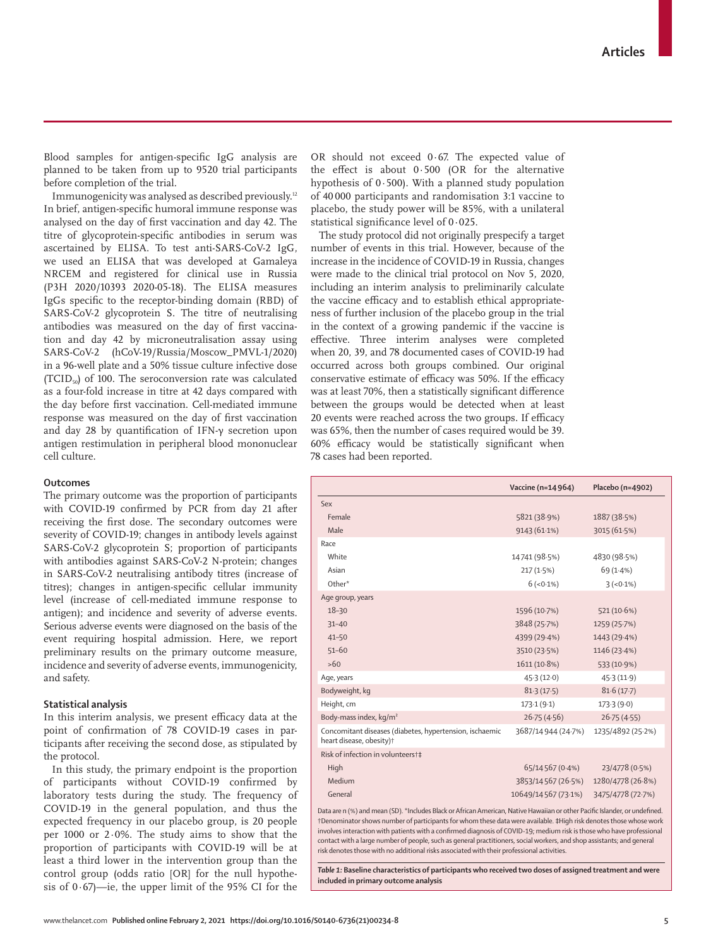www.thelancet.com **Published online February 2, 2021 https://doi.org/10.1016/S0140-6736(21)00234-8 5**

Blood samples for antigen-specific IgG analysis are planned to be taken from up to 9520 trial participants before completion of the trial.

Immunogenicity was analysed as described previously.12 In brief, antigen-specific humoral immune response was analysed on the day of first vaccination and day 42. The titre of glycoprotein-specific antibodies in serum was ascertained by ELISA. To test anti-SARS-CoV-2 IgG, we used an ELISA that was developed at Gamaleya NRCEM and registered for clinical use in Russia (P3H 2020/10393 2020-05-18). The ELISA measures IgGs specific to the receptor-binding domain (RBD) of SARS-CoV-2 glycoprotein S. The titre of neutralising antibodies was measured on the day of first vaccination and day 42 by microneutralisation assay using SARS-CoV-2 (hCoV-19/Russia/Moscow\_PMVL-1/2020) in a 96-well plate and a 50% tissue culture infective dose (TCID<sub>50</sub>) of 100. The seroconversion rate was calculated as a four-fold increase in titre at 42 days compared with the day before first vaccination. Cell-mediated immune response was measured on the day of first vaccination and day 28 by quantification of IFN-γ secretion upon antigen restimulation in peripheral blood mononuclear cell culture.

## **Outcomes**

The primary outcome was the proportion of participants with COVID-19 confirmed by PCR from day 21 after receiving the first dose. The secondary outcomes were severity of COVID-19; changes in antibody levels against SARS-CoV-2 glycoprotein S; proportion of participants with antibodies against SARS-CoV-2 N-protein; changes in SARS-CoV-2 neutralising antibody titres (increase of titres); changes in antigen-specific cellular immunity level (increase of cell-mediated immune response to antigen); and incidence and severity of adverse events. Serious adverse events were diagnosed on the basis of the event requiring hospital admission. Here, we report preliminary results on the primary outcome measure, incidence and severity of adverse events, immunogenicity, and safety.

# **Statistical analysis**

In this interim analysis, we present efficacy data at the point of confirmation of 78 COVID-19 cases in participants after receiving the second dose, as stipulated by the protocol.

In this study, the primary endpoint is the proportion of participants without COVID-19 confirmed by laboratory tests during the study. The frequency of COVID-19 in the general population, and thus the expected frequency in our placebo group, is 20 people per 1000 or 2·0%. The study aims to show that the proportion of participants with COVID-19 will be at least a third lower in the intervention group than the control group (odds ratio [OR] for the null hypothesis of  $0.67$ —ie, the upper limit of the 95% CI for the

OR should not exceed 0·67. The expected value of the effect is about 0·500 (OR for the alternative hypothesis of 0·500). With a planned study population of 40 000 participants and randomisation 3:1 vaccine to placebo, the study power will be 85%, with a unilateral statistical significance level of 0·025.

The study protocol did not originally prespecify a target number of events in this trial. However, because of the increase in the incidence of COVID-19 in Russia, changes were made to the clinical trial protocol on Nov 5, 2020, including an interim analysis to preliminarily calculate the vaccine efficacy and to establish ethical appropriateness of further inclusion of the placebo group in the trial in the context of a growing pandemic if the vaccine is effective. Three interim analyses were completed when 20, 39, and 78 documented cases of COVID-19 had occurred across both groups combined. Our original conservative estimate of efficacy was 50%. If the efficacy was at least 70%, then a statistically significant difference between the groups would be detected when at least 20 events were reached across the two groups. If efficacy was 65%, then the number of cases required would be 39. 60% efficacy would be statistically significant when 78 cases had been reported.

|                                                                                                                           | Vaccine (n=14964)   | Placebo (n=4902)  |  |
|---------------------------------------------------------------------------------------------------------------------------|---------------------|-------------------|--|
| Sex                                                                                                                       |                     |                   |  |
| Female                                                                                                                    | 5821 (38.9%)        | 1887 (38.5%)      |  |
| Male                                                                                                                      | 9143(61.1%)         | 3015 (61.5%)      |  |
| Race                                                                                                                      |                     |                   |  |
| White                                                                                                                     | 14741 (98.5%)       | 4830 (98.5%)      |  |
| Asian                                                                                                                     | 217(1.5%)           | $69(1.4\%)$       |  |
| Other*                                                                                                                    | $6(-0.1\%)$         | $3(-0.1\%)$       |  |
| Age group, years                                                                                                          |                     |                   |  |
| $18 - 30$                                                                                                                 | 1596 (10.7%)        | 521 (10.6%)       |  |
| $31 - 40$                                                                                                                 | 3848 (25.7%)        | 1259 (25.7%)      |  |
| $41 - 50$                                                                                                                 | 4399 (29.4%)        | 1443 (29.4%)      |  |
| $51 - 60$                                                                                                                 | 3510 (23.5%)        | 1146 (23.4%)      |  |
| $>60$                                                                                                                     | 1611 (10.8%)        | 533 (10.9%)       |  |
| Age, years                                                                                                                | 45.3(12.0)          | 45.3(11.9)        |  |
| Bodyweight, kg                                                                                                            | 81.3(17.5)          | 81.6(17.7)        |  |
| Height, cm                                                                                                                | 173.1(9.1)          | 173.3(9.0)        |  |
| Body-mass index, kg/m <sup>2</sup>                                                                                        | 26.75(4.56)         | 26.75(4.55)       |  |
| Concomitant diseases (diabetes, hypertension, ischaemic<br>heart disease, obesity) <sup>†</sup>                           | 3687/14944 (24.7%)  | 1235/4892 (25-2%) |  |
| Risk of infection in volunteers+‡                                                                                         |                     |                   |  |
| High                                                                                                                      | 65/14567 (0.4%)     | 23/4778 (0.5%)    |  |
| Medium                                                                                                                    | 3853/14567 (26.5%)  | 1280/4778 (26.8%) |  |
| General                                                                                                                   | 10649/14567 (73.1%) | 3475/4778 (72.7%) |  |
| Data are n (%) and mean (5D), *lackudes Plack or African American Native Hawajian or other Pacific Islander, or undefined |                     |                   |  |

Data are n (%) and mean (SD). \*Includes Black or African American, Native Hawaiian or other Pacific Islander, or undefined. †Denominator shows number of participants for whom these data were available. **‡**High risk denotes those whose work involves interaction with patients with a confirmed diagnosis of COVID-19; medium risk is those who have professional contact with a large number of people, such as general practitioners, social workers, and shop assistants; and general risk denotes those with no additional risks associated with their professional activities.

*Table 1:* **Baseline characteristics of participants who received two doses of assigned treatment and were included in primary outcome analysis**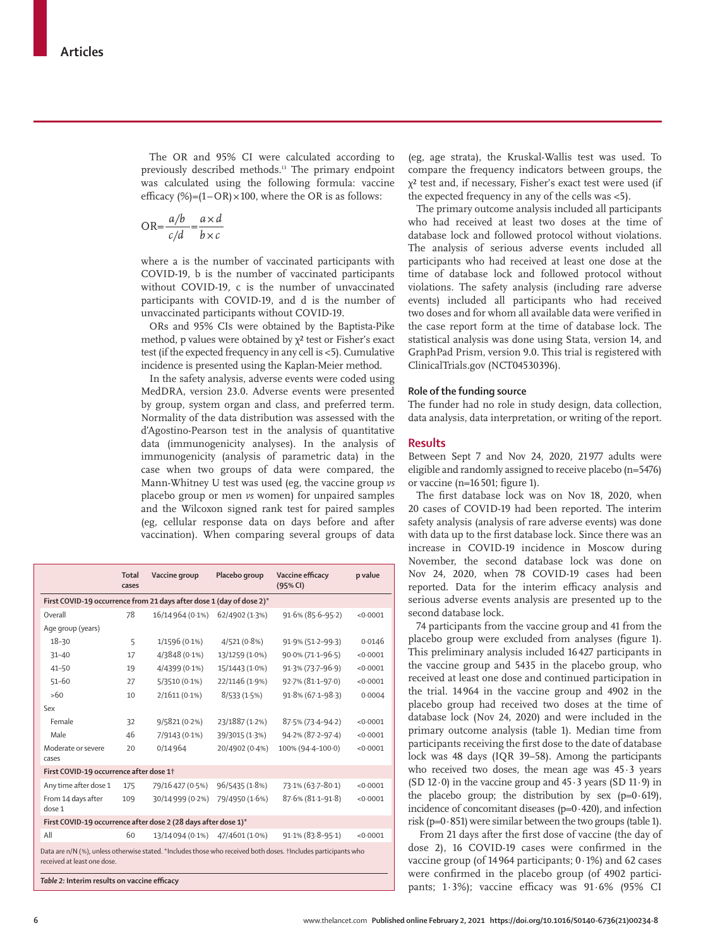The OR and 95% CI were calculated according to previously described methods.13 The primary endpoint was calculated using the following formula: vaccine efficacy  $(\%)=(1-OR)\times100$ , where the OR is as follows:

$$
OR = \frac{a/b}{c/d} = \frac{a \times d}{b \times c}
$$

where a is the number of vaccinated participants with COVID-19, b is the number of vaccinated participants without COVID-19, c is the number of unvaccinated participants with COVID-19, and d is the number of unvaccinated participants without COVID-19.

ORs and 95% CIs were obtained by the Baptista-Pike method, p values were obtained by  $\chi^2$  test or Fisher's exact test (if the expected frequency in any cell is <5). Cumulative incidence is presented using the Kaplan-Meier method.

In the safety analysis, adverse events were coded using MedDRA, version 23.0. Adverse events were presented by group, system organ and class, and preferred term. Normality of the data distribution was assessed with the d'Agostino-Pearson test in the analysis of quantitative data (immunogenicity analyses). In the analysis of immunogenicity (analysis of parametric data) in the case when two groups of data were compared, the Mann-Whitney U test was used (eg, the vaccine group *vs* placebo group or men *vs* women) for unpaired samples and the Wilcoxon signed rank test for paired samples (eg, cellular response data on days before and after vaccination). When comparing several groups of data

| Overall                                                                                                                                       | 78  |                  |                                                                      |                        |          |  |  |  |  |  |
|-----------------------------------------------------------------------------------------------------------------------------------------------|-----|------------------|----------------------------------------------------------------------|------------------------|----------|--|--|--|--|--|
|                                                                                                                                               |     |                  | First COVID-19 occurrence from 21 days after dose 1 (day of dose 2)* |                        |          |  |  |  |  |  |
|                                                                                                                                               |     | 16/14 964 (0.1%) | 62/4902 (1.3%)                                                       | $91.6\% (85.6 - 95.2)$ | < 0.0001 |  |  |  |  |  |
| Age group (years)                                                                                                                             |     |                  |                                                                      |                        |          |  |  |  |  |  |
| $18 - 30$                                                                                                                                     | 5   | $1/1596(0.1\%)$  | 4/521(0.8%)                                                          | 91.9% (51.2-99.3)      | 0.0146   |  |  |  |  |  |
| $31 - 40$                                                                                                                                     | 17  | 4/3848 (0.1%)    | 13/1259 (1.0%)                                                       | 90.0% (71.1-96.5)      | < 0.0001 |  |  |  |  |  |
| $41 - 50$                                                                                                                                     | 19  | 4/4399 (0.1%)    | 15/1443 (1.0%)                                                       | 91.3% (73.7-96.9)      | < 0.0001 |  |  |  |  |  |
| $51 - 60$                                                                                                                                     | 27  | 5/3510 (0.1%)    | 22/1146 (1.9%)                                                       | 92.7% (81.1-97.0)      | < 0.0001 |  |  |  |  |  |
| >60                                                                                                                                           | 10  | $2/1611(0.1\%)$  | 8/533(1.5%)                                                          | 91.8% (67.1-98.3)      | 0.0004   |  |  |  |  |  |
| Sex                                                                                                                                           |     |                  |                                                                      |                        |          |  |  |  |  |  |
| Female                                                                                                                                        | 32  | 9/5821(0.2%)     | 23/1887 (1.2%)                                                       | 87.5% (73.4-94.2)      | < 0.0001 |  |  |  |  |  |
| Male                                                                                                                                          | 46  | 7/9143 (0.1%)    | 39/3015 (1.3%)                                                       | 94.2% (87.2-97.4)      | < 0.0001 |  |  |  |  |  |
| Moderate or severe<br>cases                                                                                                                   | 20  | 0/14 964         | 20/4902 (0.4%)                                                       | 100% (94-4-100-0)      | < 0.0001 |  |  |  |  |  |
| First COVID-19 occurrence after dose 1 <sup>+</sup>                                                                                           |     |                  |                                                                      |                        |          |  |  |  |  |  |
| Any time after dose 1                                                                                                                         | 175 | 79/16 427 (0.5%) | 96/5435 (1.8%)                                                       | 73.1% (63.7-80.1)      | < 0.0001 |  |  |  |  |  |
| From 14 days after<br>dose 1                                                                                                                  | 109 | 30/14999 (0.2%)  | 79/4950 (1.6%)                                                       | 87.6% (81.1-91.8)      | < 0.0001 |  |  |  |  |  |
| First COVID-19 occurrence after dose 2 (28 days after dose 1)*                                                                                |     |                  |                                                                      |                        |          |  |  |  |  |  |
| All                                                                                                                                           | 60  | 13/14 094 (0.1%) | 47/4601 (1.0%)                                                       | 91.1% (83.8-95.1)      | < 0.0001 |  |  |  |  |  |
| Data are n/N (%), unless otherwise stated. *Includes those who received both doses. †Includes participants who<br>received at least one dose. |     |                  |                                                                      |                        |          |  |  |  |  |  |

(eg, age strata), the Kruskal-Wallis test was used. To compare the frequency indicators between groups, the χ² test and, if necessary, Fisher's exact test were used (if the expected frequency in any of the cells was <5).

The primary outcome analysis included all participants who had received at least two doses at the time of database lock and followed protocol without violations. The analysis of serious adverse events included all participants who had received at least one dose at the time of database lock and followed protocol without violations. The safety analysis (including rare adverse events) included all participants who had received two doses and for whom all available data were verified in the case report form at the time of database lock. The statistical analysis was done using Stata, version 14, and GraphPad Prism, version 9.0. This trial is registered with ClinicalTrials.gov (NCT04530396).

# **Role of the funding source**

The funder had no role in study design, data collection, data analysis, data interpretation, or writing of the report.

# **Results**

Between Sept 7 and Nov 24, 2020, 21977 adults were eligible and randomly assigned to receive placebo (n=5476) or vaccine (n=16501; figure 1).

The first database lock was on Nov 18, 2020, when 20 cases of COVID-19 had been reported. The interim safety analysis (analysis of rare adverse events) was done with data up to the first database lock. Since there was an increase in COVID-19 incidence in Moscow during November, the second database lock was done on Nov 24, 2020, when 78 COVID-19 cases had been reported. Data for the interim efficacy analysis and serious adverse events analysis are presented up to the second database lock.

74 participants from the vaccine group and 41 from the placebo group were excluded from analyses (figure 1). This preliminary analysis included 16427 participants in the vaccine group and 5435 in the placebo group, who received at least one dose and continued participation in the trial. 14 964 in the vaccine group and 4902 in the placebo group had received two doses at the time of database lock (Nov 24, 2020) and were included in the primary outcome analysis (table 1). Median time from participants receiving the first dose to the date of database lock was 48 days (IQR 39–58). Among the participants who received two doses, the mean age was 45·3 years (SD 12 $\cdot$ 0) in the vaccine group and 45 $\cdot$ 3 years (SD 11 $\cdot$ 9) in the placebo group; the distribution by sex  $(p=0.619)$ , incidence of concomitant diseases (p=0·420), and infection risk (p= $0.851$ ) were similar between the two groups (table 1).

From 21 days after the first dose of vaccine (the day of dose 2), 16 COVID-19 cases were confirmed in the vaccine group (of 14 964 participants; 0·1%) and 62 cases were confirmed in the placebo group (of 4902 participants; 1·3%); vaccine efficacy was 91·6% (95% CI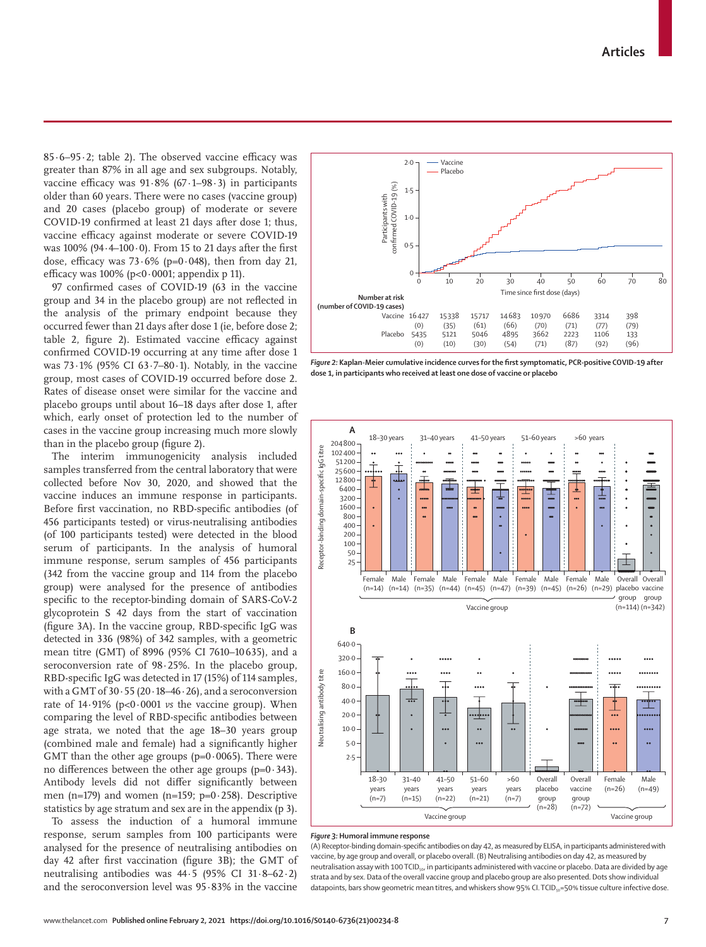$85.6-95.2$ ; table 2). The observed vaccine efficacy was greater than 87% in all age and sex subgroups. Notably, vaccine efficacy was  $91.8\%$  (67 $\cdot$ 1–98 $\cdot$ 3) in participants older than 60 years. There were no cases (vaccine group) and 20 cases (placebo group) of moderate or severe COVID-19 confirmed at least 21 days after dose 1; thus, vaccine efficacy against moderate or severe COVID-19 was  $100\%$  (94 $\cdot$ 4-100 $\cdot$ 0). From 15 to 21 days after the first dose, efficacy was  $73.6\%$  (p=0.048), then from day 21, efficacy was  $100\%$  (p<0 $\cdot$ 0001; appendix p 11).

97 confirmed cases of COVID-19 (63 in the vaccine group and 34 in the placebo group) are not reflected in the analysis of the primary endpoint because they occurred fewer than 21 days after dose 1 (ie, before dose 2; table 2, figure 2). Estimated vaccine efficacy against confirmed COVID-19 occurring at any time after dose 1 was 73·1% (95% CI 63·7–80·1). Notably, in the vaccine group, most cases of COVID-19 occurred before dose 2. Rates of disease onset were similar for the vaccine and placebo groups until about 16–18 days after dose 1, after which, early onset of protection led to the number of cases in the vaccine group increasing much more slowly than in the placebo group (figure 2).

The interim immunogenicity analysis included samples transferred from the central laboratory that were collected before Nov 30, 2020, and showed that the vaccine induces an immune response in participants. Before first vaccination, no RBD-specific antibodies (of 456 participants tested) or virus-neutralising antibodies (of 100 participants tested) were detected in the blood serum of participants. In the analysis of humoral immune response, serum samples of 456 participants (342 from the vaccine group and 114 from the placebo group) were analysed for the presence of antibodies specific to the receptor-binding domain of SARS-CoV-2 glycoprotein S 42 days from the start of vaccination (figure 3A). In the vaccine group, RBD-specific IgG was detected in 336 (98%) of 342 samples, with a geometric mean titre (GMT) of 8996 (95% CI 7610–10 635), and a seroconversion rate of 98·25%. In the placebo group, RBD-specific IgG was detected in 17 (15%) of 114 samples, with a GMT of  $30.55$  (20 $.18-46.26$ ), and a seroconversion rate of 14·91% (p<0·0001 *vs* the vaccine group). When comparing the level of RBD-specific antibodies between age strata, we noted that the age 18–30 years group (combined male and female) had a significantly higher GMT than the other age groups ( $p=0.0065$ ). There were no differences between the other age groups ( $p=0.343$ ). Antibody levels did not differ significantly between men (n=179) and women (n=159;  $p=0.258$ ). Descriptive statistics by age stratum and sex are in the appendix (p 3).

To assess the induction of a humoral immune response, serum samples from 100 participants were analysed for the presence of neutralising antibodies on day 42 after first vaccination (figure 3B); the GMT of neutralising antibodies was 44·5 (95% CI 31·8–62·2) and the seroconversion level was 95·83% in the vaccine



*Figure 2:* **Kaplan-Meier cumulative incidence curves for the first symptomatic, PCR-positive COVID-19 after dose 1, in participants who received at least one dose of vaccine or placebo**



#### *Figure 3:* **Humoral immune response**

(A) Receptor-binding domain-specific antibodies on day 42, as measured by ELISA, in participants administered with vaccine, by age group and overall, or placebo overall. (B) Neutralising antibodies on day 42, as measured by neutralisation assay with 100 TCID<sub>50</sub>, in participants administered with vaccine or placebo. Data are divided by age strata and by sex. Data of the overall vaccine group and placebo group are also presented. Dots show individual datapoints, bars show geometric mean titres, and whiskers show 95% CI. TCID<sub>50</sub>=50% tissue culture infective dose.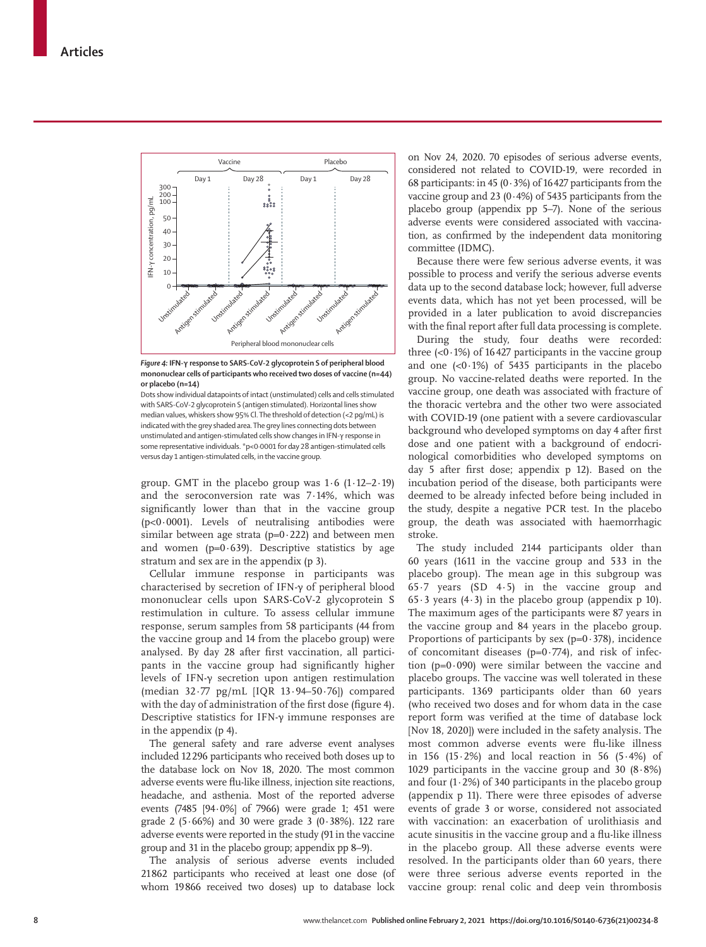

*Figure 4:* **IFN-γ response to SARS-CoV-2 glycoprotein S of peripheral blood mononuclear cells of participants who received two doses of vaccine (n=44) or placebo (n=14)**

Dots show individual datapoints of intact (unstimulated) cells and cells stimulated with SARS-CoV-2 glycoprotein S (antigen stimulated). Horizontal lines show median values, whiskers show 95% Cl. The threshold of detection (<2 pg/mL) is indicated with the grey shaded area. The grey lines connecting dots between unstimulated and antigen-stimulated cells show changes in IFN-γ response in some representative individuals. \*p<0·0001 for day 28 antigen-stimulated cells versus day 1 antigen-stimulated cells, in the vaccine group.

group. GMT in the placebo group was  $1.6$  ( $1.12-2.19$ ) and the seroconversion rate was 7·14%, which was significantly lower than that in the vaccine group ( $p<0.0001$ ). Levels of neutralising antibodies were similar between age strata ( $p=0.222$ ) and between men and women ( $p=0.639$ ). Descriptive statistics by age stratum and sex are in the appendix (p 3).

Cellular immune response in participants was characterised by secretion of IFN-γ of peripheral blood mononuclear cells upon SARS-CoV-2 glycoprotein S restimulation in culture. To assess cellular immune response, serum samples from 58 participants (44 from the vaccine group and 14 from the placebo group) were analysed. By day 28 after first vaccination, all participants in the vaccine group had significantly higher levels of IFN-γ secretion upon antigen restimulation (median 32·77 pg/mL [IQR 13·94–50·76]) compared with the day of administration of the first dose (figure 4). Descriptive statistics for IFN-γ immune responses are in the appendix (p 4).

The general safety and rare adverse event analyses included 12296 participants who received both doses up to the database lock on Nov 18, 2020. The most common adverse events were flu-like illness, injection site reactions, headache, and asthenia. Most of the reported adverse events (7485 [94·0%] of 7966) were grade 1; 451 were grade 2 (5·66%) and 30 were grade 3 (0·38%). 122 rare adverse events were reported in the study (91 in the vaccine group and 31 in the placebo group; appendix pp 8–9).

The analysis of serious adverse events included 21862 participants who received at least one dose (of whom 19866 received two doses) up to database lock on Nov 24, 2020. 70 episodes of serious adverse events, considered not related to COVID-19, were recorded in 68 participants: in 45 (0 $\cdot$ 3%) of 16427 participants from the vaccine group and 23  $(0.4%)$  of 5435 participants from the placebo group (appendix pp 5–7). None of the serious adverse events were considered associated with vaccination, as confirmed by the independent data monitoring committee (IDMC).

Because there were few serious adverse events, it was possible to process and verify the serious adverse events data up to the second database lock; however, full adverse events data, which has not yet been processed, will be provided in a later publication to avoid discrepancies with the final report after full data processing is complete.

During the study, four deaths were recorded: three  $( $0.1\%$ ) of 16427 participants in the vaccine group$ and one  $( $0.1\%$ ) of 5435 participants in the placebo$ group. No vaccine-related deaths were reported. In the vaccine group, one death was associated with fracture of the thoracic vertebra and the other two were associated with COVID-19 (one patient with a severe cardiovascular background who developed symptoms on day 4 after first dose and one patient with a background of endocrinological comorbidities who developed symptoms on day 5 after first dose; appendix p 12). Based on the incubation period of the disease, both participants were deemed to be already infected before being included in the study, despite a negative PCR test. In the placebo group, the death was associated with haemorrhagic stroke.

The study included 2144 participants older than 60 years (1611 in the vaccine group and 533 in the placebo group). The mean age in this subgroup was 65·7 years (SD 4·5) in the vaccine group and 65 $\cdot$ 3 years (4 $\cdot$ 3) in the placebo group (appendix p 10). The maximum ages of the participants were 87 years in the vaccine group and 84 years in the placebo group. Proportions of participants by sex  $(p=0.378)$ , incidence of concomitant diseases ( $p=0.774$ ), and risk of infection ( $p=0.090$ ) were similar between the vaccine and placebo groups. The vaccine was well tolerated in these participants. 1369 participants older than 60 years (who received two doses and for whom data in the case report form was verified at the time of database lock [Nov 18, 2020]) were included in the safety analysis. The most common adverse events were flu-like illness in 156 (15 $\cdot$ 2%) and local reaction in 56 (5 $\cdot$ 4%) of 1029 participants in the vaccine group and 30  $(8.8\%)$ and four  $(1.2\%)$  of 340 participants in the placebo group (appendix p 11). There were three episodes of adverse events of grade 3 or worse, considered not associated with vaccination: an exacerbation of urolithiasis and acute sinusitis in the vaccine group and a flu-like illness in the placebo group. All these adverse events were resolved. In the participants older than 60 years, there were three serious adverse events reported in the vaccine group: renal colic and deep vein thrombosis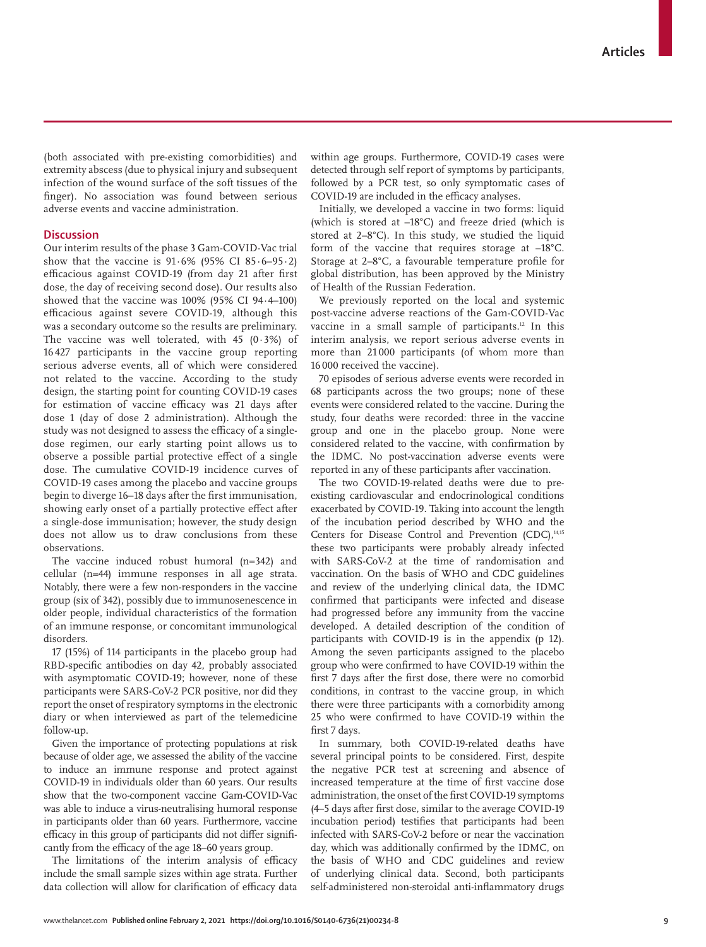(both associated with pre-existing comorbidities) and extremity abscess (due to physical injury and subsequent infection of the wound surface of the soft tissues of the finger). No association was found between serious adverse events and vaccine administration.

# **Discussion**

Our interim results of the phase 3 Gam-COVID-Vac trial show that the vaccine is  $91.6\%$  (95% CI 85 $\cdot$ 6–95 $\cdot$ 2) efficacious against COVID-19 (from day 21 after first dose, the day of receiving second dose). Our results also showed that the vaccine was 100% (95% CI 94·4–100) efficacious against severe COVID-19, although this was a secondary outcome so the results are preliminary. The vaccine was well tolerated, with 45  $(0.3%)$  of 16 427 participants in the vaccine group reporting serious adverse events, all of which were considered not related to the vaccine. According to the study design, the starting point for counting COVID-19 cases for estimation of vaccine efficacy was 21 days after dose 1 (day of dose 2 administration). Although the study was not designed to assess the efficacy of a singledose regimen, our early starting point allows us to observe a possible partial protective effect of a single dose. The cumulative COVID-19 incidence curves of COVID-19 cases among the placebo and vaccine groups begin to diverge 16–18 days after the first immunisation, showing early onset of a partially protective effect after a single-dose immunisation; however, the study design does not allow us to draw conclusions from these observations.

The vaccine induced robust humoral (n=342) and cellular (n=44) immune responses in all age strata. Notably, there were a few non-responders in the vaccine group (six of 342), possibly due to immunosenescence in older people, individual characteristics of the formation of an immune response, or concomitant immunological disorders.

17 (15%) of 114 participants in the placebo group had RBD-specific antibodies on day 42, probably associated with asymptomatic COVID-19; however, none of these participants were SARS-CoV-2 PCR positive, nor did they report the onset of respiratory symptoms in the electronic diary or when interviewed as part of the telemedicine follow-up.

Given the importance of protecting populations at risk because of older age, we assessed the ability of the vaccine to induce an immune response and protect against COVID-19 in individuals older than 60 years. Our results show that the two-component vaccine Gam-COVID-Vac was able to induce a virus-neutralising humoral response in participants older than 60 years. Furthermore, vaccine efficacy in this group of participants did not differ significantly from the efficacy of the age 18–60 years group.

The limitations of the interim analysis of efficacy include the small sample sizes within age strata. Further data collection will allow for clarification of efficacy data within age groups. Furthermore, COVID-19 cases were detected through self report of symptoms by participants, followed by a PCR test, so only symptomatic cases of COVID-19 are included in the efficacy analyses.

Initially, we developed a vaccine in two forms: liquid (which is stored at –18°C) and freeze dried (which is stored at 2–8°C). In this study, we studied the liquid form of the vaccine that requires storage at –18°C. Storage at 2–8°C, a favourable temperature profile for global distribution, has been approved by the Ministry of Health of the Russian Federation.

We previously reported on the local and systemic post-vaccine adverse reactions of the Gam-COVID-Vac vaccine in a small sample of participants.<sup>12</sup> In this interim analysis, we report serious adverse events in more than 21 000 participants (of whom more than 16 000 received the vaccine).

70 episodes of serious adverse events were recorded in 68 participants across the two groups; none of these events were considered related to the vaccine. During the study, four deaths were recorded: three in the vaccine group and one in the placebo group. None were considered related to the vaccine, with confirmation by the IDMC. No post-vaccination adverse events were reported in any of these participants after vaccination.

The two COVID-19-related deaths were due to preexisting cardiovascular and endocrinological conditions exacerbated by COVID-19. Taking into account the length of the incubation period described by WHO and the Centers for Disease Control and Prevention (CDC),<sup>14,15</sup> these two participants were probably already infected with SARS-CoV-2 at the time of randomisation and vaccination. On the basis of WHO and CDC guidelines and review of the underlying clinical data, the IDMC confirmed that participants were infected and disease had progressed before any immunity from the vaccine developed. A detailed description of the condition of participants with COVID-19 is in the appendix (p 12). Among the seven participants assigned to the placebo group who were confirmed to have COVID-19 within the first 7 days after the first dose, there were no comorbid conditions, in contrast to the vaccine group, in which there were three participants with a comorbidity among 25 who were confirmed to have COVID-19 within the first 7 days.

In summary, both COVID-19-related deaths have several principal points to be considered. First, despite the negative PCR test at screening and absence of increased temperature at the time of first vaccine dose administration, the onset of the first COVID-19 symptoms (4–5 days after first dose, similar to the average COVID-19 incubation period) testifies that participants had been infected with SARS-CoV-2 before or near the vaccination day, which was additionally confirmed by the IDMC, on the basis of WHO and CDC guidelines and review of underlying clinical data. Second, both participants self-administered non-steroidal anti-inflammatory drugs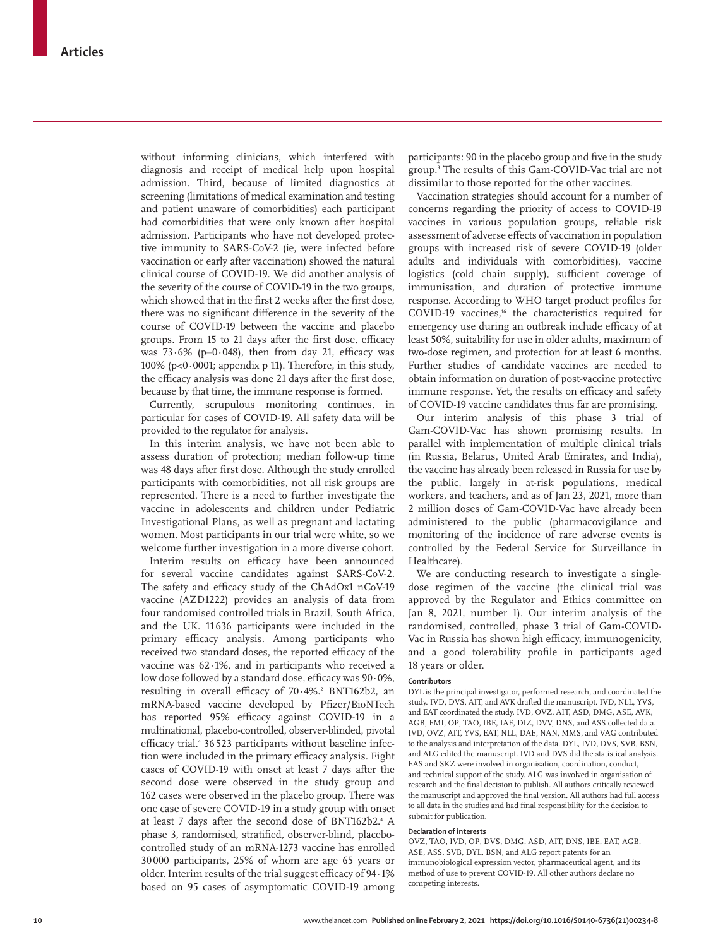without informing clinicians, which interfered with diagnosis and receipt of medical help upon hospital admission. Third, because of limited diagnostics at screening (limitations of medical examination and testing and patient unaware of comorbidities) each participant had comorbidities that were only known after hospital admission. Participants who have not developed protective immunity to SARS-CoV-2 (ie, were infected before vaccination or early after vaccination) showed the natural clinical course of COVID-19. We did another analysis of the severity of the course of COVID-19 in the two groups, which showed that in the first 2 weeks after the first dose, there was no significant difference in the severity of the course of COVID-19 between the vaccine and placebo groups. From 15 to 21 days after the first dose, efficacy was  $73.6\%$  (p=0.048), then from day 21, efficacy was 100% (p<0·0001; appendix p 11). Therefore, in this study, the efficacy analysis was done 21 days after the first dose, because by that time, the immune response is formed.

Currently, scrupulous monitoring continues, in particular for cases of COVID-19. All safety data will be provided to the regulator for analysis.

In this interim analysis, we have not been able to assess duration of protection; median follow-up time was 48 days after first dose. Although the study enrolled participants with comorbidities, not all risk groups are represented. There is a need to further investigate the vaccine in adolescents and children under Pediatric Investigational Plans, as well as pregnant and lactating women. Most participants in our trial were white, so we welcome further investigation in a more diverse cohort.

Interim results on efficacy have been announced for several vaccine candidates against SARS-CoV-2. The safety and efficacy study of the ChAdOx1 nCoV-19 vaccine (AZD1222) provides an analysis of data from four randomised controlled trials in Brazil, South Africa, and the UK. 11636 participants were included in the primary efficacy analysis. Among participants who received two standard doses, the reported efficacy of the vaccine was 62·1%, and in participants who received a low dose followed by a standard dose, efficacy was 90·0%, resulting in overall efficacy of 70·4%.<sup>2</sup> BNT162b2, an mRNA-based vaccine developed by Pfizer/BioNTech has reported 95% efficacy against COVID-19 in a multinational, placebo-controlled, observer-blinded, pivotal efficacy trial.<sup>4</sup> 36 523 participants without baseline infection were included in the primary efficacy analysis. Eight cases of COVID-19 with onset at least 7 days after the second dose were observed in the study group and 162 cases were observed in the placebo group. There was one case of severe COVID-19 in a study group with onset at least 7 days after the second dose of BNT162b2.<sup>4</sup> A phase 3, randomised, stratified, observer-blind, placebocontrolled study of an mRNA-1273 vaccine has enrolled 30 000 participants, 25% of whom are age 65 years or older. Interim results of the trial suggest efficacy of 94·1% based on 95 cases of asymptomatic COVID-19 among

participants: 90 in the placebo group and five in the study group.3 The results of this Gam-COVID-Vac trial are not dissimilar to those reported for the other vaccines.

Vaccination strategies should account for a number of concerns regarding the priority of access to COVID-19 vaccines in various population groups, reliable risk assessment of adverse effects of vaccination in population groups with increased risk of severe COVID-19 (older adults and individuals with comorbidities), vaccine logistics (cold chain supply), sufficient coverage of immunisation, and duration of protective immune response. According to WHO target product profiles for COVID-19 vaccines,<sup>16</sup> the characteristics required for emergency use during an outbreak include efficacy of at least 50%, suitability for use in older adults, maximum of two-dose regimen, and protection for at least 6 months. Further studies of candidate vaccines are needed to obtain information on duration of post-vaccine protective immune response. Yet, the results on efficacy and safety of COVID-19 vaccine candidates thus far are promising.

Our interim analysis of this phase 3 trial of Gam-COVID-Vac has shown promising results. In parallel with implementation of multiple clinical trials (in Russia, Belarus, United Arab Emirates, and India), the vaccine has already been released in Russia for use by the public, largely in at-risk populations, medical workers, and teachers, and as of Jan 23, 2021, more than 2 million doses of Gam-COVID-Vac have already been administered to the public (pharmacovigilance and monitoring of the incidence of rare adverse events is controlled by the Federal Service for Surveillance in Healthcare).

We are conducting research to investigate a singledose regimen of the vaccine (the clinical trial was approved by the Regulator and Ethics committee on Jan 8, 2021, number 1). Our interim analysis of the randomised, controlled, phase 3 trial of Gam-COVID-Vac in Russia has shown high efficacy, immunogenicity, and a good tolerability profile in participants aged 18 years or older.

## **Contributors**

DYL is the principal investigator, performed research, and coordinated the study. IVD, DVS, AIT, and AVK drafted the manuscript. IVD, NLL, YVS, and EAT coordinated the study. IVD, OVZ, AIT, ASD, DMG, ASE, AVK, AGB, FMI, OP, TAO, IBE, IAF, DIZ, DVV, DNS, and ASS collected data. IVD, OVZ, AIT, YVS, EAT, NLL, DAE, NAN, MMS, and VAG contributed to the analysis and interpretation of the data. DYL, IVD, DVS, SVB, BSN, and ALG edited the manuscript. IVD and DVS did the statistical analysis. EAS and SKZ were involved in organisation, coordination, conduct, and technical support of the study. ALG was involved in organisation of research and the final decision to publish. All authors critically reviewed the manuscript and approved the final version. All authors had full access to all data in the studies and had final responsibility for the decision to submit for publication.

## **Declaration of interests**

OVZ, TAO, IVD, OP, DVS, DMG, ASD, AIT, DNS, IBE, EAT, AGB, ASE, ASS, SVB, DYL, BSN, and ALG report patents for an immunobiological expression vector, pharmaceutical agent, and its method of use to prevent COVID-19. All other authors declare no competing interests.